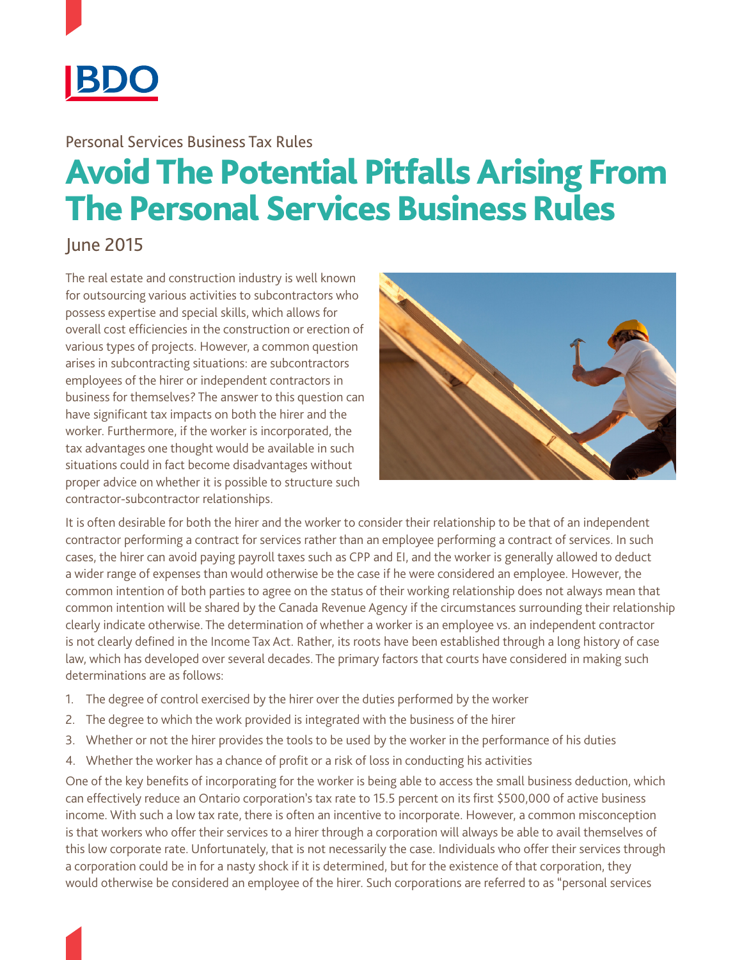

## Personal Services Business Tax Rules

## Avoid The Potential Pitfalls Arising From The Personal Services Business Rules

## June 2015

The real estate and construction industry is well known for outsourcing various activities to subcontractors who possess expertise and special skills, which allows for overall cost efficiencies in the construction or erection of various types of projects. However, a common question arises in subcontracting situations: are subcontractors employees of the hirer or independent contractors in business for themselves? The answer to this question can have significant tax impacts on both the hirer and the worker. Furthermore, if the worker is incorporated, the tax advantages one thought would be available in such situations could in fact become disadvantages without proper advice on whether it is possible to structure such contractor-subcontractor relationships.



It is often desirable for both the hirer and the worker to consider their relationship to be that of an independent contractor performing a contract for services rather than an employee performing a contract of services. In such cases, the hirer can avoid paying payroll taxes such as CPP and EI, and the worker is generally allowed to deduct a wider range of expenses than would otherwise be the case if he were considered an employee. However, the common intention of both parties to agree on the status of their working relationship does not always mean that common intention will be shared by the Canada Revenue Agency if the circumstances surrounding their relationship clearly indicate otherwise. The determination of whether a worker is an employee vs. an independent contractor is not clearly defined in the Income Tax Act. Rather, its roots have been established through a long history of case law, which has developed over several decades. The primary factors that courts have considered in making such determinations are as follows:

- 1. The degree of control exercised by the hirer over the duties performed by the worker
- 2. The degree to which the work provided is integrated with the business of the hirer
- 3. Whether or not the hirer provides the tools to be used by the worker in the performance of his duties
- 4. Whether the worker has a chance of profit or a risk of loss in conducting his activities

One of the key benefits of incorporating for the worker is being able to access the small business deduction, which can effectively reduce an Ontario corporation's tax rate to 15.5 percent on its first \$500,000 of active business income. With such a low tax rate, there is often an incentive to incorporate. However, a common misconception is that workers who offer their services to a hirer through a corporation will always be able to avail themselves of this low corporate rate. Unfortunately, that is not necessarily the case. Individuals who offer their services through a corporation could be in for a nasty shock if it is determined, but for the existence of that corporation, they would otherwise be considered an employee of the hirer. Such corporations are referred to as "personal services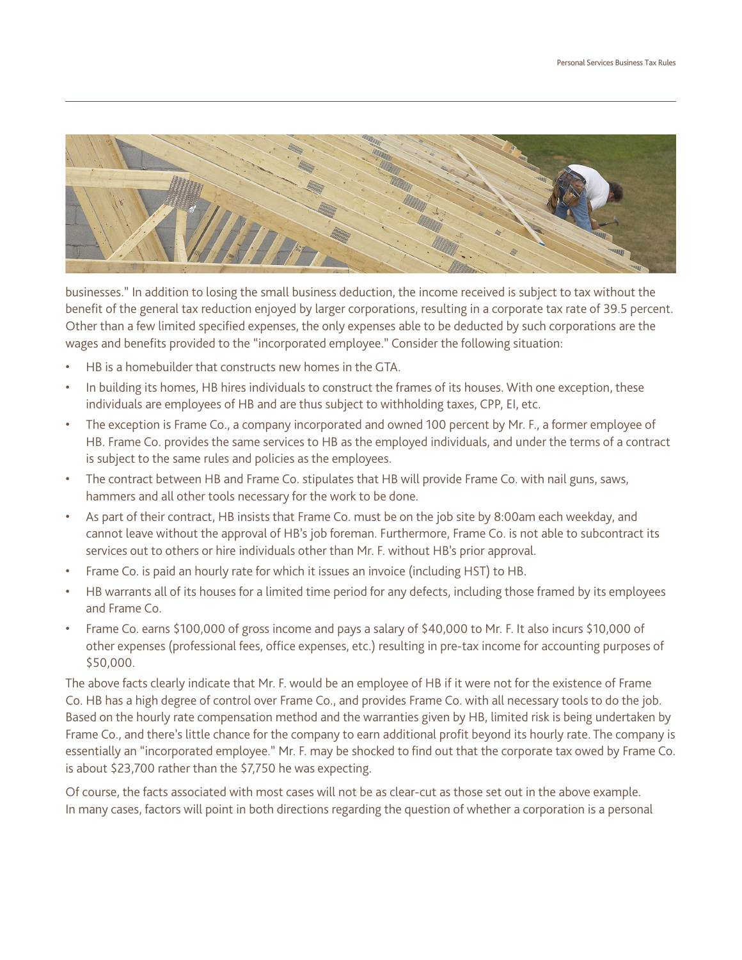

businesses." In addition to losing the small business deduction, the income received is subject to tax without the benefit of the general tax reduction enjoyed by larger corporations, resulting in a corporate tax rate of 39.5 percent. Other than a few limited specified expenses, the only expenses able to be deducted by such corporations are the wages and benefits provided to the "incorporated employee." Consider the following situation:

- HB is a homebuilder that constructs new homes in the GTA.
- In building its homes, HB hires individuals to construct the frames of its houses. With one exception, these individuals are employees of HB and are thus subject to withholding taxes, CPP, EI, etc.
- The exception is Frame Co., a company incorporated and owned 100 percent by Mr. F., a former employee of HB. Frame Co. provides the same services to HB as the employed individuals, and under the terms of a contract is subject to the same rules and policies as the employees.
- The contract between HB and Frame Co. stipulates that HB will provide Frame Co. with nail guns, saws, hammers and all other tools necessary for the work to be done.
- As part of their contract, HB insists that Frame Co. must be on the job site by 8:00am each weekday, and cannot leave without the approval of HB's job foreman. Furthermore, Frame Co. is not able to subcontract its services out to others or hire individuals other than Mr. F. without HB's prior approval.
- Frame Co. is paid an hourly rate for which it issues an invoice (including HST) to HB.
- HB warrants all of its houses for a limited time period for any defects, including those framed by its employees and Frame Co.
- Frame Co. earns \$100,000 of gross income and pays a salary of \$40,000 to Mr. F. It also incurs \$10,000 of other expenses (professional fees, office expenses, etc.) resulting in pre-tax income for accounting purposes of \$50,000.

The above facts clearly indicate that Mr. F. would be an employee of HB if it were not for the existence of Frame Co. HB has a high degree of control over Frame Co., and provides Frame Co. with all necessary tools to do the job. Based on the hourly rate compensation method and the warranties given by HB, limited risk is being undertaken by Frame Co., and there's little chance for the company to earn additional profit beyond its hourly rate. The company is essentially an "incorporated employee." Mr. F. may be shocked to find out that the corporate tax owed by Frame Co. is about \$23,700 rather than the \$7,750 he was expecting.

Of course, the facts associated with most cases will not be as clear-cut as those set out in the above example. In many cases, factors will point in both directions regarding the question of whether a corporation is a personal